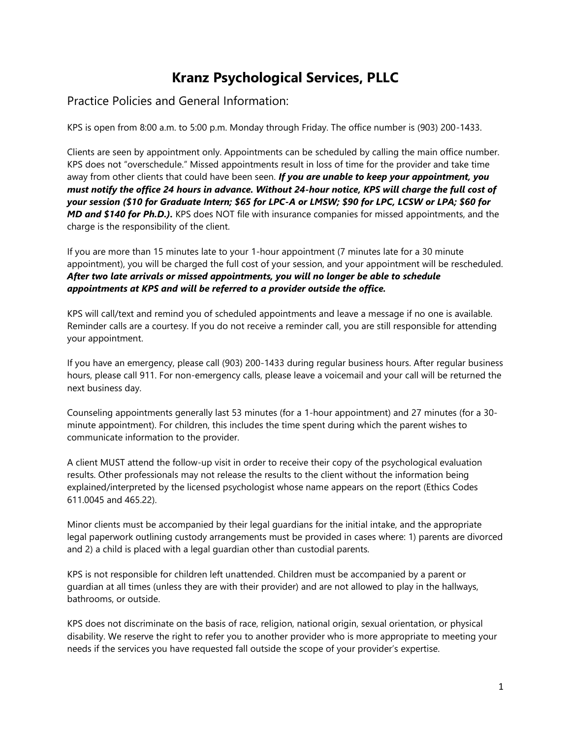# **Kranz Psychological Services, PLLC**

## Practice Policies and General Information:

KPS is open from 8:00 a.m. to 5:00 p.m. Monday through Friday. The office number is (903) 200-1433.

Clients are seen by appointment only. Appointments can be scheduled by calling the main office number. KPS does not "overschedule." Missed appointments result in loss of time for the provider and take time away from other clients that could have been seen. *If you are unable to keep your appointment, you must notify the office 24 hours in advance. Without 24-hour notice, KPS will charge the full cost of your session (\$10 for Graduate Intern; \$65 for LPC-A or LMSW; \$90 for LPC, LCSW or LPA; \$60 for MD and \$140 for Ph.D.).* KPS does NOT file with insurance companies for missed appointments, and the charge is the responsibility of the client.

If you are more than 15 minutes late to your 1-hour appointment (7 minutes late for a 30 minute appointment), you will be charged the full cost of your session, and your appointment will be rescheduled. *After two late arrivals or missed appointments, you will no longer be able to schedule appointments at KPS and will be referred to a provider outside the office.*

KPS will call/text and remind you of scheduled appointments and leave a message if no one is available. Reminder calls are a courtesy. If you do not receive a reminder call, you are still responsible for attending your appointment.

If you have an emergency, please call (903) 200-1433 during regular business hours. After regular business hours, please call 911. For non-emergency calls, please leave a voicemail and your call will be returned the next business day.

Counseling appointments generally last 53 minutes (for a 1-hour appointment) and 27 minutes (for a 30 minute appointment). For children, this includes the time spent during which the parent wishes to communicate information to the provider.

A client MUST attend the follow-up visit in order to receive their copy of the psychological evaluation results. Other professionals may not release the results to the client without the information being explained/interpreted by the licensed psychologist whose name appears on the report (Ethics Codes 611.0045 and 465.22).

Minor clients must be accompanied by their legal guardians for the initial intake, and the appropriate legal paperwork outlining custody arrangements must be provided in cases where: 1) parents are divorced and 2) a child is placed with a legal guardian other than custodial parents.

KPS is not responsible for children left unattended. Children must be accompanied by a parent or guardian at all times (unless they are with their provider) and are not allowed to play in the hallways, bathrooms, or outside.

KPS does not discriminate on the basis of race, religion, national origin, sexual orientation, or physical disability. We reserve the right to refer you to another provider who is more appropriate to meeting your needs if the services you have requested fall outside the scope of your provider's expertise.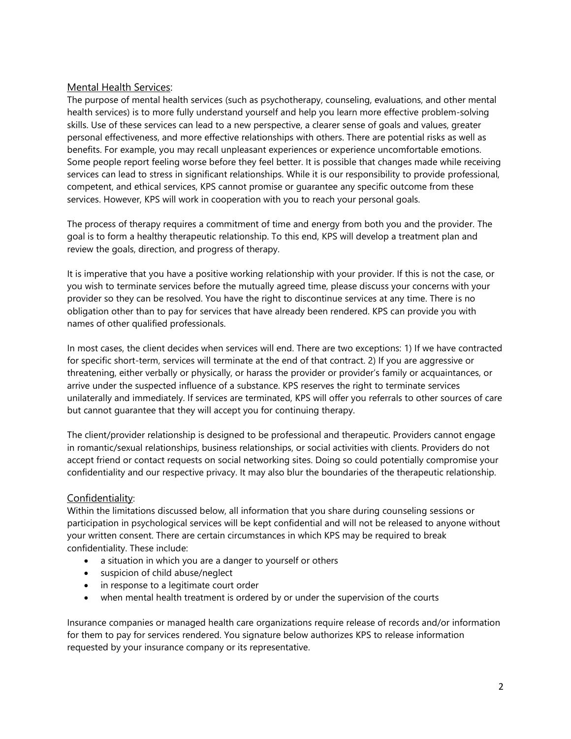### Mental Health Services:

The purpose of mental health services (such as psychotherapy, counseling, evaluations, and other mental health services) is to more fully understand yourself and help you learn more effective problem-solving skills. Use of these services can lead to a new perspective, a clearer sense of goals and values, greater personal effectiveness, and more effective relationships with others. There are potential risks as well as benefits. For example, you may recall unpleasant experiences or experience uncomfortable emotions. Some people report feeling worse before they feel better. It is possible that changes made while receiving services can lead to stress in significant relationships. While it is our responsibility to provide professional, competent, and ethical services, KPS cannot promise or guarantee any specific outcome from these services. However, KPS will work in cooperation with you to reach your personal goals.

The process of therapy requires a commitment of time and energy from both you and the provider. The goal is to form a healthy therapeutic relationship. To this end, KPS will develop a treatment plan and review the goals, direction, and progress of therapy.

It is imperative that you have a positive working relationship with your provider. If this is not the case, or you wish to terminate services before the mutually agreed time, please discuss your concerns with your provider so they can be resolved. You have the right to discontinue services at any time. There is no obligation other than to pay for services that have already been rendered. KPS can provide you with names of other qualified professionals.

In most cases, the client decides when services will end. There are two exceptions: 1) If we have contracted for specific short-term, services will terminate at the end of that contract. 2) If you are aggressive or threatening, either verbally or physically, or harass the provider or provider's family or acquaintances, or arrive under the suspected influence of a substance. KPS reserves the right to terminate services unilaterally and immediately. If services are terminated, KPS will offer you referrals to other sources of care but cannot guarantee that they will accept you for continuing therapy.

The client/provider relationship is designed to be professional and therapeutic. Providers cannot engage in romantic/sexual relationships, business relationships, or social activities with clients. Providers do not accept friend or contact requests on social networking sites. Doing so could potentially compromise your confidentiality and our respective privacy. It may also blur the boundaries of the therapeutic relationship.

#### Confidentiality:

Within the limitations discussed below, all information that you share during counseling sessions or participation in psychological services will be kept confidential and will not be released to anyone without your written consent. There are certain circumstances in which KPS may be required to break confidentiality. These include:

- a situation in which you are a danger to yourself or others
- suspicion of child abuse/neglect
- in response to a legitimate court order
- when mental health treatment is ordered by or under the supervision of the courts

Insurance companies or managed health care organizations require release of records and/or information for them to pay for services rendered. You signature below authorizes KPS to release information requested by your insurance company or its representative.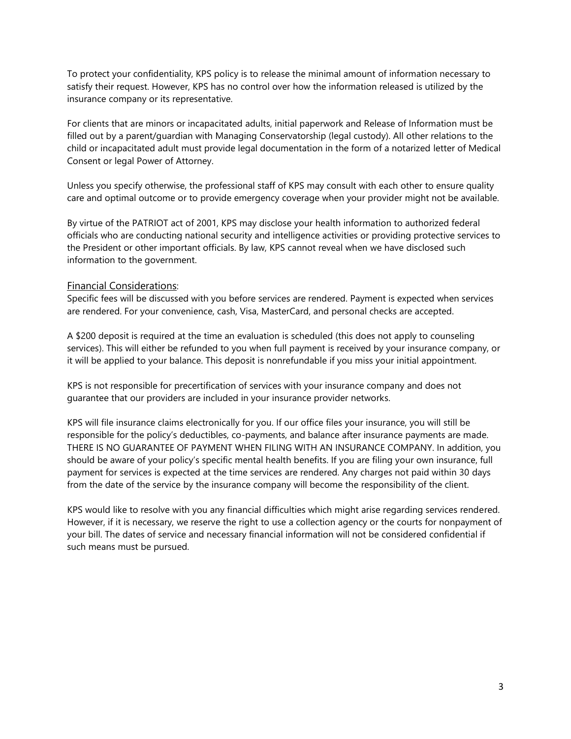To protect your confidentiality, KPS policy is to release the minimal amount of information necessary to satisfy their request. However, KPS has no control over how the information released is utilized by the insurance company or its representative.

For clients that are minors or incapacitated adults, initial paperwork and Release of Information must be filled out by a parent/guardian with Managing Conservatorship (legal custody). All other relations to the child or incapacitated adult must provide legal documentation in the form of a notarized letter of Medical Consent or legal Power of Attorney.

Unless you specify otherwise, the professional staff of KPS may consult with each other to ensure quality care and optimal outcome or to provide emergency coverage when your provider might not be available.

By virtue of the PATRIOT act of 2001, KPS may disclose your health information to authorized federal officials who are conducting national security and intelligence activities or providing protective services to the President or other important officials. By law, KPS cannot reveal when we have disclosed such information to the government.

#### Financial Considerations:

Specific fees will be discussed with you before services are rendered. Payment is expected when services are rendered. For your convenience, cash, Visa, MasterCard, and personal checks are accepted.

A \$200 deposit is required at the time an evaluation is scheduled (this does not apply to counseling services). This will either be refunded to you when full payment is received by your insurance company, or it will be applied to your balance. This deposit is nonrefundable if you miss your initial appointment.

KPS is not responsible for precertification of services with your insurance company and does not guarantee that our providers are included in your insurance provider networks.

KPS will file insurance claims electronically for you. If our office files your insurance, you will still be responsible for the policy's deductibles, co-payments, and balance after insurance payments are made. THERE IS NO GUARANTEE OF PAYMENT WHEN FILING WITH AN INSURANCE COMPANY. In addition, you should be aware of your policy's specific mental health benefits. If you are filing your own insurance, full payment for services is expected at the time services are rendered. Any charges not paid within 30 days from the date of the service by the insurance company will become the responsibility of the client.

KPS would like to resolve with you any financial difficulties which might arise regarding services rendered. However, if it is necessary, we reserve the right to use a collection agency or the courts for nonpayment of your bill. The dates of service and necessary financial information will not be considered confidential if such means must be pursued.